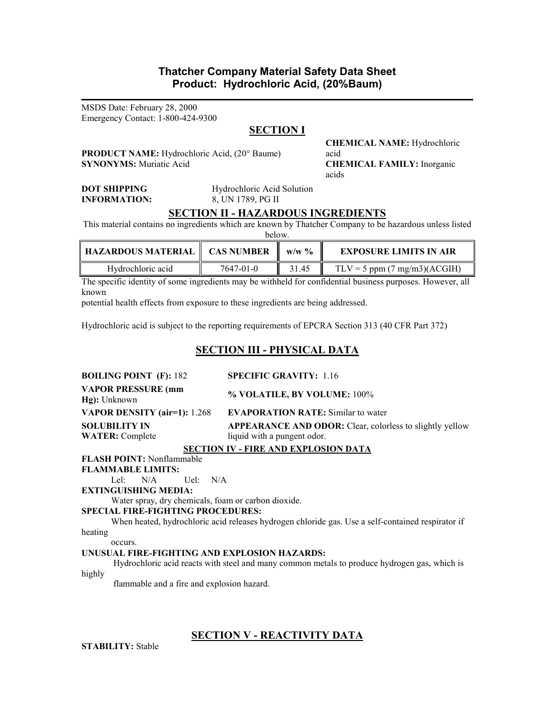# Thatcher Company Material Safety Data Sheet Product: Hydrochloric Acid, (20%Baum)

MSDS Date: February 28, 2000 Emergency Contact: 1-800-424-9300

# SECTION I

PRODUCT NAME: Hydrochloric Acid, (20° Baume) SYNONYMS: Muriatic Acid

CHEMICAL NAME: Hydrochloric acid CHEMICAL FAMILY: Inorganic acids

## DOT SHIPPING INFORMATION:

Hydrochloric Acid Solution 8, UN 1789, PG II

# SECTION II - HAZARDOUS INGREDIENTS

This material contains no ingredients which are known by Thatcher Company to be hazardous unless listed

below.

| HAZARDOUS MATERIAL    CAS NUMBER    w/w % |           |       | <b>EXPOSURE LIMITS IN AIR</b>            |
|-------------------------------------------|-----------|-------|------------------------------------------|
| Hydrochloric acid                         | 7647-01-0 | 31.45 | $TLV = 5$ ppm $(7 \text{ mg/m3})(ACGIH)$ |

The specific identity of some ingredients may be withheld for confidential business purposes. However, all known

potential health effects from exposure to these ingredients are being addressed.

Hydrochloric acid is subject to the reporting requirements of EPCRA Section 313 (40 CFR Part 372)

# SECTION III - PHYSICAL DATA

| <b>BOILING POINT (F): 182</b>             | <b>SPECIFIC GRAVITY: 1.16</b>                                   |
|-------------------------------------------|-----------------------------------------------------------------|
| <b>VAPOR PRESSURE (mm</b><br>Hg): Unknown | % VOLATILE, BY VOLUME: 100%                                     |
| VAPOR DENSITY (air=1): 1.268              | <b>EVAPORATION RATE:</b> Similar to water                       |
| <b>SOLUBILITY IN</b>                      | <b>APPEARANCE AND ODOR:</b> Clear, colorless to slightly yellow |
| <b>WATER:</b> Complete                    | liquid with a pungent odor.                                     |
|                                           |                                                                 |

## SECTION IV - FIRE AND EXPLOSION DATA

FLASH POINT: Nonflammable

FLAMMABLE LIMITS:

Lel: N/A Uel: N/A

EXTINGUISHING MEDIA:

Water spray, dry chemicals, foam or carbon dioxide.

### SPECIAL FIRE-FIGHTING PROCEDURES:

 When heated, hydrochloric acid releases hydrogen chloride gas. Use a self-contained respirator if heating

occurs.

## UNUSUAL FIRE-FIGHTING AND EXPLOSION HAZARDS:

 Hydrochloric acid reacts with steel and many common metals to produce hydrogen gas, which is highly

flammable and a fire and explosion hazard.

# <u>SECTION V - REACTIVITY DATA</u>

STABILITY: Stable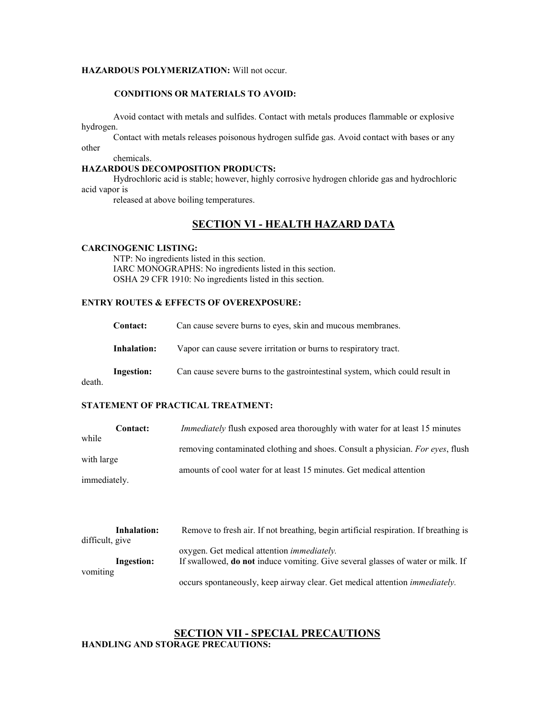# HAZARDOUS POLYMERIZATION: Will not occur.

### CONDITIONS OR MATERIALS TO AVOID:

 Avoid contact with metals and sulfides. Contact with metals produces flammable or explosive hydrogen.

 Contact with metals releases poisonous hydrogen sulfide gas. Avoid contact with bases or any other

chemicals.

### HAZARDOUS DECOMPOSITION PRODUCTS:

 Hydrochloric acid is stable; however, highly corrosive hydrogen chloride gas and hydrochloric acid vapor is

released at above boiling temperatures.

# SECTION VI - HEALTH HAZARD DATA

#### CARCINOGENIC LISTING:

death.

 NTP: No ingredients listed in this section. IARC MONOGRAPHS: No ingredients listed in this section. OSHA 29 CFR 1910: No ingredients listed in this section.

# ENTRY ROUTES & EFFECTS OF OVEREXPOSURE:

|        | Contact:    | Can cause severe burns to eyes, skin and mucous membranes.                   |
|--------|-------------|------------------------------------------------------------------------------|
|        | Inhalation: | Vapor can cause severe irritation or burns to respiratory tract.             |
| death. | Ingestion:  | Can cause severe burns to the gastrointestinal system, which could result in |

# STATEMENT OF PRACTICAL TREATMENT:

| Contact:     | <i>Immediately</i> flush exposed area thoroughly with water for at least 15 minutes |
|--------------|-------------------------------------------------------------------------------------|
| while        |                                                                                     |
|              | removing contaminated clothing and shoes. Consult a physician. For eyes, flush      |
| with large   |                                                                                     |
|              | amounts of cool water for at least 15 minutes. Get medical attention                |
| immediately. |                                                                                     |

|                 | Inhalation:       | Remove to fresh air. If not breathing, begin artificial respiration. If breathing is   |
|-----------------|-------------------|----------------------------------------------------------------------------------------|
| difficult, give |                   |                                                                                        |
|                 |                   | oxygen. Get medical attention <i>immediately</i> .                                     |
|                 | <b>Ingestion:</b> | If swallowed, <b>do not</b> induce vomiting. Give several glasses of water or milk. If |
| vomiting        |                   |                                                                                        |
|                 |                   | occurs spontaneously, keep airway clear. Get medical attention <i>immediately</i> .    |

# SECTION VII - SPECIAL PRECAUTIONS HANDLING AND STORAGE PRECAUTIONS: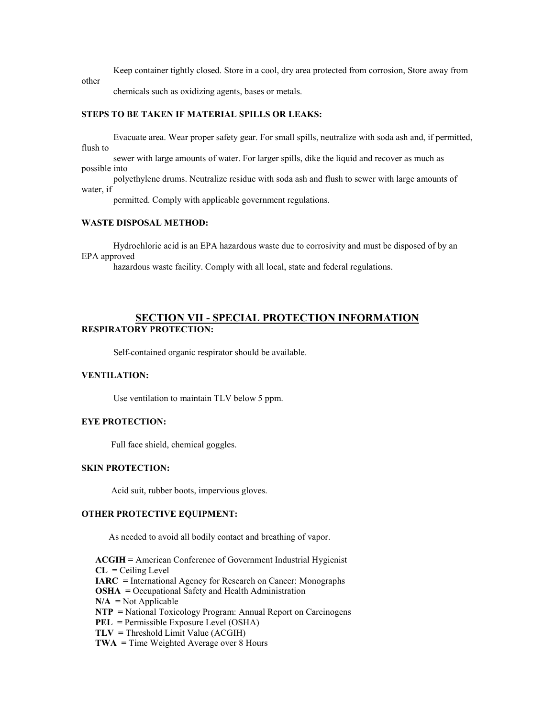Keep container tightly closed. Store in a cool, dry area protected from corrosion, Store away from

other

chemicals such as oxidizing agents, bases or metals.

## STEPS TO BE TAKEN IF MATERIAL SPILLS OR LEAKS:

 Evacuate area. Wear proper safety gear. For small spills, neutralize with soda ash and, if permitted, flush to

 sewer with large amounts of water. For larger spills, dike the liquid and recover as much as possible into

 polyethylene drums. Neutralize residue with soda ash and flush to sewer with large amounts of water, if

permitted. Comply with applicable government regulations.

## WASTE DISPOSAL METHOD:

 Hydrochloric acid is an EPA hazardous waste due to corrosivity and must be disposed of by an EPA approved

hazardous waste facility. Comply with all local, state and federal regulations.

## SECTION VII - SPECIAL PROTECTION INFORMATION RESPIRATORY PROTECTION:

Self-contained organic respirator should be available.

## VENTILATION:

Use ventilation to maintain TLV below 5 ppm.

## EYE PROTECTION:

Full face shield, chemical goggles.

### SKIN PROTECTION:

Acid suit, rubber boots, impervious gloves.

### OTHER PROTECTIVE EQUIPMENT:

As needed to avoid all bodily contact and breathing of vapor.

 ACGIH = American Conference of Government Industrial Hygienist  $CL = Ceiling Level$ 

IARC = International Agency for Research on Cancer: Monographs

OSHA = Occupational Safety and Health Administration

 $N/A$  = Not Applicable

NTP = National Toxicology Program: Annual Report on Carcinogens

PEL = Permissible Exposure Level (OSHA)

 $TLV = Threshold Limit Value (ACGIH)$ 

TWA = Time Weighted Average over 8 Hours